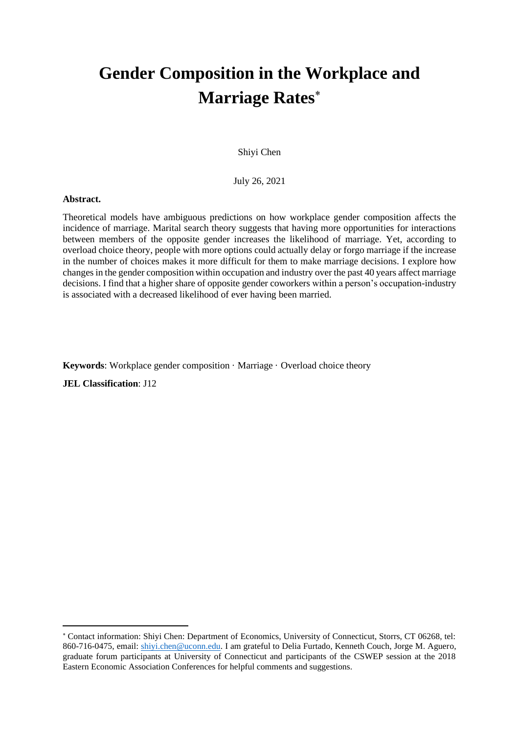# **Gender Composition in the Workplace and Marriage Rates**

# Shiyi Chen

July 26, 2021

#### **Abstract.**

Theoretical models have ambiguous predictions on how workplace gender composition affects the incidence of marriage. Marital search theory suggests that having more opportunities for interactions between members of the opposite gender increases the likelihood of marriage. Yet, according to overload choice theory, people with more options could actually delay or forgo marriage if the increase in the number of choices makes it more difficult for them to make marriage decisions. I explore how changes in the gender composition within occupation and industry over the past 40 years affect marriage decisions. I find that a higher share of opposite gender coworkers within a person's occupation-industry is associated with a decreased likelihood of ever having been married.

**Keywords**: Workplace gender composition · Marriage · Overload choice theory

**JEL Classification**: J12

Contact information: Shiyi Chen: Department of Economics, University of Connecticut, Storrs, CT 06268, tel: 860-716-0475, email: [shiyi.chen@uconn.edu.](mailto:shiyi.chen@uconn.edu) I am grateful to Delia Furtado, Kenneth Couch, Jorge M. Aguero, graduate forum participants at University of Connecticut and participants of the CSWEP session at the 2018 Eastern Economic Association Conferences for helpful comments and suggestions.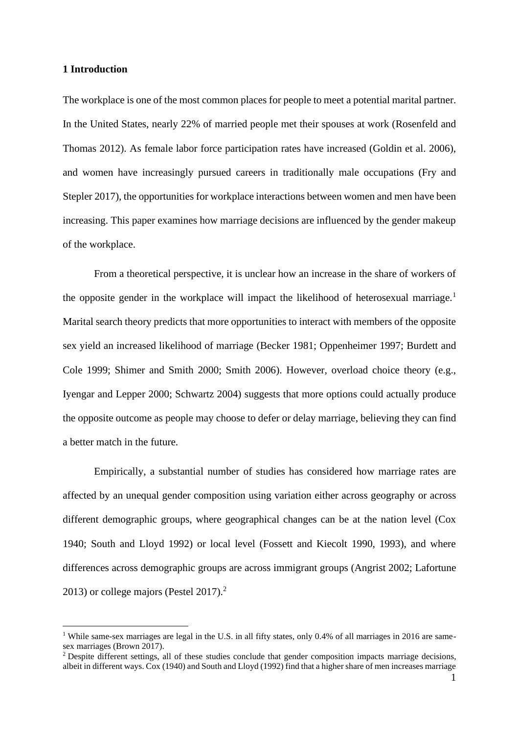## **1 Introduction**

The workplace is one of the most common places for people to meet a potential marital partner. In the United States, nearly 22% of married people met their spouses at work (Rosenfeld and Thomas 2012). As female labor force participation rates have increased (Goldin et al. 2006), and women have increasingly pursued careers in traditionally male occupations (Fry and Stepler 2017), the opportunities for workplace interactions between women and men have been increasing. This paper examines how marriage decisions are influenced by the gender makeup of the workplace.

From a theoretical perspective, it is unclear how an increase in the share of workers of the opposite gender in the workplace will impact the likelihood of heterosexual marriage.<sup>1</sup> Marital search theory predicts that more opportunities to interact with members of the opposite sex yield an increased likelihood of marriage (Becker 1981; Oppenheimer 1997; Burdett and Cole 1999; Shimer and Smith 2000; Smith 2006). However, overload choice theory (e.g., Iyengar and Lepper 2000; Schwartz 2004) suggests that more options could actually produce the opposite outcome as people may choose to defer or delay marriage, believing they can find a better match in the future.

Empirically, a substantial number of studies has considered how marriage rates are affected by an unequal gender composition using variation either across geography or across different demographic groups, where geographical changes can be at the nation level (Cox 1940; South and Lloyd 1992) or local level (Fossett and Kiecolt 1990, 1993), and where differences across demographic groups are across immigrant groups (Angrist 2002; Lafortune 2013) or college majors (Pestel 2017).<sup>2</sup>

<sup>&</sup>lt;sup>1</sup> While same-sex marriages are legal in the U.S. in all fifty states, only 0.4% of all marriages in 2016 are samesex marriages (Brown 2017).

<sup>&</sup>lt;sup>2</sup> Despite different settings, all of these studies conclude that gender composition impacts marriage decisions, albeit in different ways. Cox (1940) and South and Lloyd (1992) find that a higher share of men increases marriage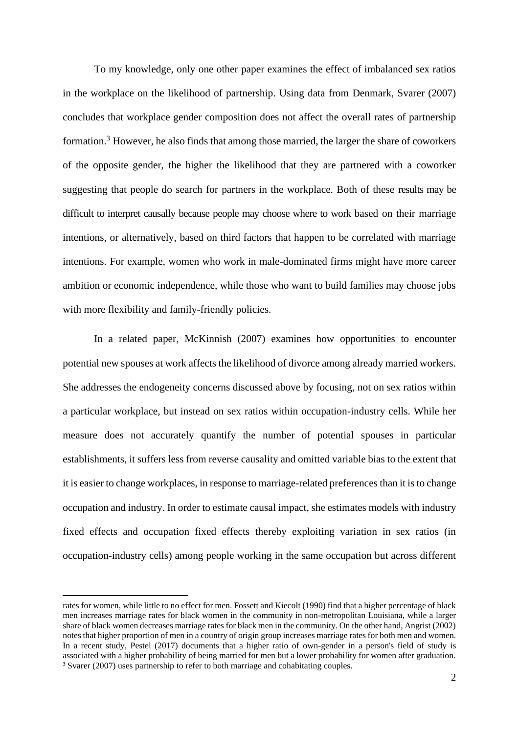To my knowledge, only one other paper examines the effect of imbalanced sex ratios in the workplace on the likelihood of partnership. Using data from Denmark, Svarer (2007) concludes that workplace gender composition does not affect the overall rates of partnership formation.<sup>3</sup> However, he also finds that among those married, the larger the share of coworkers of the opposite gender, the higher the likelihood that they are partnered with a coworker suggesting that people do search for partners in the workplace. Both of these results may be difficult to interpret causally because people may choose where to work based on their marriage intentions, or alternatively, based on third factors that happen to be correlated with marriage intentions. For example, women who work in male-dominated firms might have more career ambition or economic independence, while those who want to build families may choose jobs with more flexibility and family-friendly policies.

In a related paper, McKinnish (2007) examines how opportunities to encounter potential new spouses at work affects the likelihood of divorce among already married workers. She addresses the endogeneity concerns discussed above by focusing, not on sex ratios within a particular workplace, but instead on sex ratios within occupation-industry cells. While her measure does not accurately quantify the number of potential spouses in particular establishments, it suffers less from reverse causality and omitted variable bias to the extent that it is easier to change workplaces, in response to marriage-related preferences than it is to change occupation and industry. In order to estimate causal impact, she estimates models with industry fixed effects and occupation fixed effects thereby exploiting variation in sex ratios (in occupation-industry cells) among people working in the same occupation but across different

rates for women, while little to no effect for men. Fossett and Kiecolt (1990) find that a higher percentage of black men increases marriage rates for black women in the community in non-metropolitan Louisiana, while a larger share of black women decreases marriage rates for black men in the community. On the other hand, Angrist (2002) notes that higher proportion of men in a country of origin group increases marriage rates for both men and women. In a recent study, Pestel (2017) documents that a higher ratio of own-gender in a person's field of study is associated with a higher probability of being married for men but a lower probability for women after graduation. <sup>3</sup> Svarer (2007) uses partnership to refer to both marriage and cohabitating couples.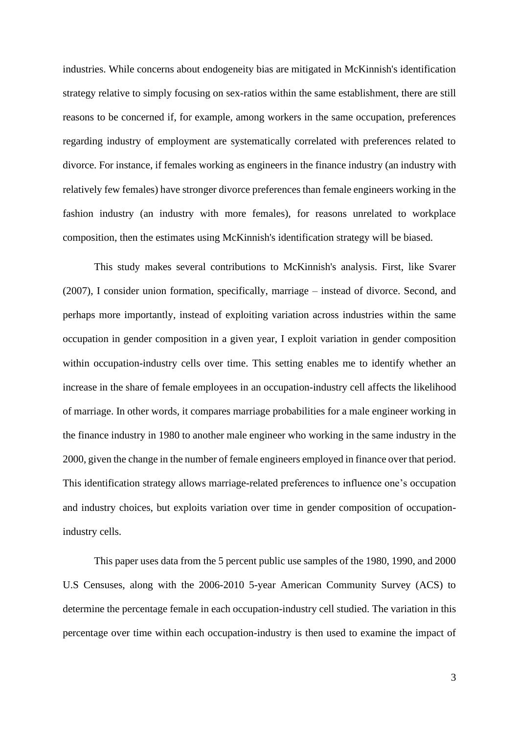industries. While concerns about endogeneity bias are mitigated in McKinnish's identification strategy relative to simply focusing on sex-ratios within the same establishment, there are still reasons to be concerned if, for example, among workers in the same occupation, preferences regarding industry of employment are systematically correlated with preferences related to divorce. For instance, if females working as engineers in the finance industry (an industry with relatively few females) have stronger divorce preferences than female engineers working in the fashion industry (an industry with more females), for reasons unrelated to workplace composition, then the estimates using McKinnish's identification strategy will be biased.

This study makes several contributions to McKinnish's analysis. First, like Svarer (2007), I consider union formation, specifically, marriage – instead of divorce. Second, and perhaps more importantly, instead of exploiting variation across industries within the same occupation in gender composition in a given year, I exploit variation in gender composition within occupation-industry cells over time. This setting enables me to identify whether an increase in the share of female employees in an occupation-industry cell affects the likelihood of marriage. In other words, it compares marriage probabilities for a male engineer working in the finance industry in 1980 to another male engineer who working in the same industry in the 2000, given the change in the number of female engineers employed in finance over that period. This identification strategy allows marriage-related preferences to influence one's occupation and industry choices, but exploits variation over time in gender composition of occupationindustry cells.

This paper uses data from the 5 percent public use samples of the 1980, 1990, and 2000 U.S Censuses, along with the 2006-2010 5-year American Community Survey (ACS) to determine the percentage female in each occupation-industry cell studied. The variation in this percentage over time within each occupation-industry is then used to examine the impact of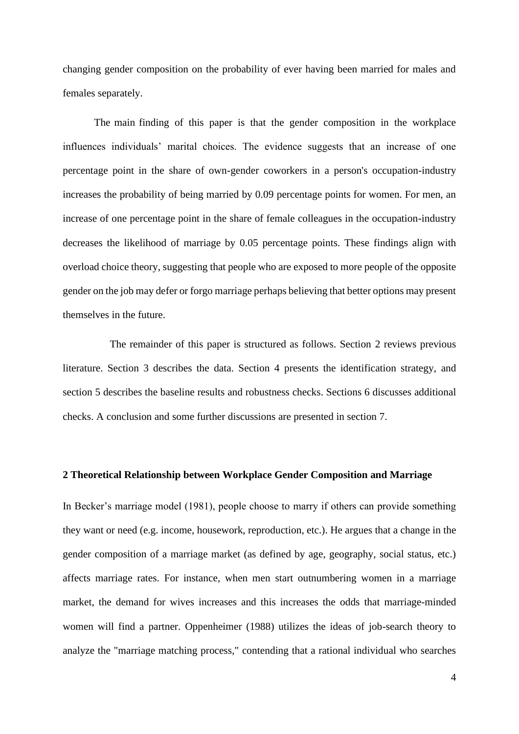changing gender composition on the probability of ever having been married for males and females separately.

The main finding of this paper is that the gender composition in the workplace influences individuals' marital choices. The evidence suggests that an increase of one percentage point in the share of own-gender coworkers in a person's occupation-industry increases the probability of being married by 0.09 percentage points for women. For men, an increase of one percentage point in the share of female colleagues in the occupation-industry decreases the likelihood of marriage by 0.05 percentage points. These findings align with overload choice theory, suggesting that people who are exposed to more people of the opposite gender on the job may defer or forgo marriage perhaps believing that better options may present themselves in the future.

 The remainder of this paper is structured as follows. Section 2 reviews previous literature. Section 3 describes the data. Section 4 presents the identification strategy, and section 5 describes the baseline results and robustness checks. Sections 6 discusses additional checks. A conclusion and some further discussions are presented in section 7.

#### **2 Theoretical Relationship between Workplace Gender Composition and Marriage**

In Becker's marriage model (1981), people choose to marry if others can provide something they want or need (e.g. income, housework, reproduction, etc.). He argues that a change in the gender composition of a marriage market (as defined by age, geography, social status, etc.) affects marriage rates. For instance, when men start outnumbering women in a marriage market, the demand for wives increases and this increases the odds that marriage-minded women will find a partner. Oppenheimer (1988) utilizes the ideas of job-search theory to analyze the "marriage matching process," contending that a rational individual who searches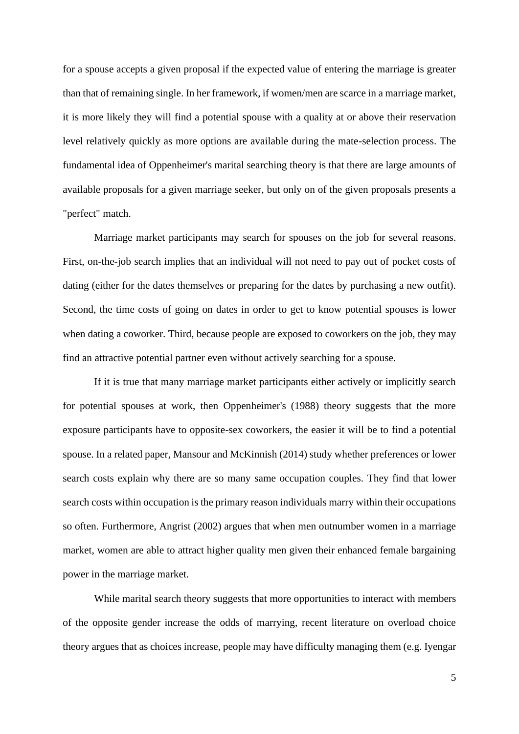for a spouse accepts a given proposal if the expected value of entering the marriage is greater than that of remaining single. In her framework, if women/men are scarce in a marriage market, it is more likely they will find a potential spouse with a quality at or above their reservation level relatively quickly as more options are available during the mate-selection process. The fundamental idea of Oppenheimer's marital searching theory is that there are large amounts of available proposals for a given marriage seeker, but only on of the given proposals presents a "perfect" match.

Marriage market participants may search for spouses on the job for several reasons. First, on-the-job search implies that an individual will not need to pay out of pocket costs of dating (either for the dates themselves or preparing for the dates by purchasing a new outfit). Second, the time costs of going on dates in order to get to know potential spouses is lower when dating a coworker. Third, because people are exposed to coworkers on the job, they may find an attractive potential partner even without actively searching for a spouse.

If it is true that many marriage market participants either actively or implicitly search for potential spouses at work, then Oppenheimer's (1988) theory suggests that the more exposure participants have to opposite-sex coworkers, the easier it will be to find a potential spouse. In a related paper, Mansour and McKinnish (2014) study whether preferences or lower search costs explain why there are so many same occupation couples. They find that lower search costs within occupation is the primary reason individuals marry within their occupations so often. Furthermore, Angrist (2002) argues that when men outnumber women in a marriage market, women are able to attract higher quality men given their enhanced female bargaining power in the marriage market.

While marital search theory suggests that more opportunities to interact with members of the opposite gender increase the odds of marrying, recent literature on overload choice theory argues that as choices increase, people may have difficulty managing them (e.g. Iyengar

5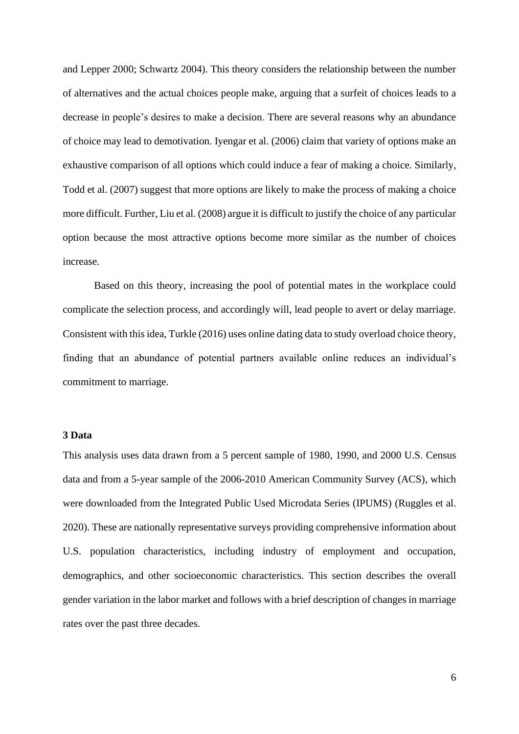and Lepper 2000; Schwartz 2004). This theory considers the relationship between the number of alternatives and the actual choices people make, arguing that a surfeit of choices leads to a decrease in people's desires to make a decision. There are several reasons why an abundance of choice may lead to demotivation. Iyengar et al. (2006) claim that variety of options make an exhaustive comparison of all options which could induce a fear of making a choice. Similarly, Todd et al. (2007) suggest that more options are likely to make the process of making a choice more difficult. Further, Liu et al. (2008) argue it is difficult to justify the choice of any particular option because the most attractive options become more similar as the number of choices increase.

Based on this theory, increasing the pool of potential mates in the workplace could complicate the selection process, and accordingly will, lead people to avert or delay marriage. Consistent with this idea, Turkle (2016) uses online dating data to study overload choice theory, finding that an abundance of potential partners available online reduces an individual's commitment to marriage.

# **3 Data**

This analysis uses data drawn from a 5 percent sample of 1980, 1990, and 2000 U.S. Census data and from a 5-year sample of the 2006-2010 American Community Survey (ACS), which were downloaded from the Integrated Public Used Microdata Series (IPUMS) (Ruggles et al. 2020). These are nationally representative surveys providing comprehensive information about U.S. population characteristics, including industry of employment and occupation, demographics, and other socioeconomic characteristics. This section describes the overall gender variation in the labor market and follows with a brief description of changes in marriage rates over the past three decades.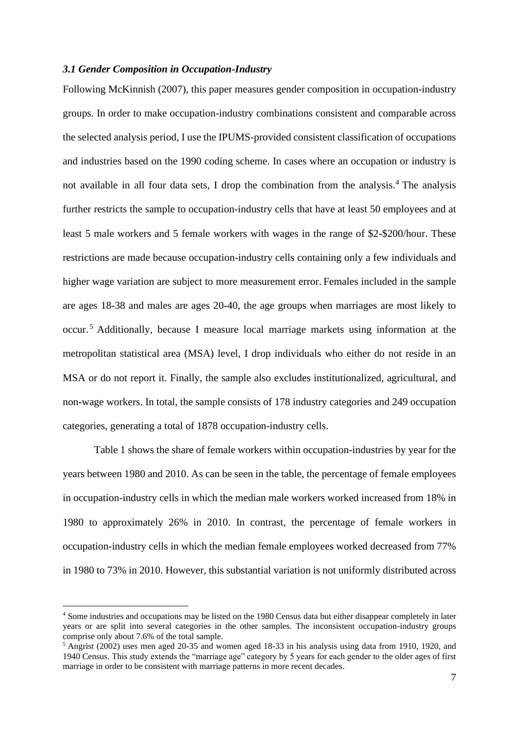### *3.1 Gender Composition in Occupation-Industry*

Following McKinnish (2007), this paper measures gender composition in occupation-industry groups. In order to make occupation-industry combinations consistent and comparable across the selected analysis period, I use the IPUMS-provided consistent classification of occupations and industries based on the 1990 coding scheme. In cases where an occupation or industry is not available in all four data sets, I drop the combination from the analysis.<sup>4</sup> The analysis further restricts the sample to occupation-industry cells that have at least 50 employees and at least 5 male workers and 5 female workers with wages in the range of \$2-\$200/hour. These restrictions are made because occupation-industry cells containing only a few individuals and higher wage variation are subject to more measurement error. Females included in the sample are ages 18-38 and males are ages 20-40, the age groups when marriages are most likely to occur. <sup>5</sup> Additionally, because I measure local marriage markets using information at the metropolitan statistical area (MSA) level, I drop individuals who either do not reside in an MSA or do not report it. Finally, the sample also excludes institutionalized, agricultural, and non-wage workers. In total, the sample consists of 178 industry categories and 249 occupation categories, generating a total of 1878 occupation-industry cells.

Table 1 shows the share of female workers within occupation-industries by year for the years between 1980 and 2010. As can be seen in the table, the percentage of female employees in occupation-industry cells in which the median male workers worked increased from 18% in 1980 to approximately 26% in 2010. In contrast, the percentage of female workers in occupation-industry cells in which the median female employees worked decreased from 77% in 1980 to 73% in 2010. However, this substantial variation is not uniformly distributed across

<sup>4</sup> Some industries and occupations may be listed on the 1980 Census data but either disappear completely in later years or are split into several categories in the other samples. The inconsistent occupation-industry groups comprise only about 7.6% of the total sample.

 $5$  Angrist (2002) uses men aged 20-35 and women aged 18-33 in his analysis using data from 1910, 1920, and 1940 Census. This study extends the "marriage age" category by 5 years for each gender to the older ages of first marriage in order to be consistent with marriage patterns in more recent decades.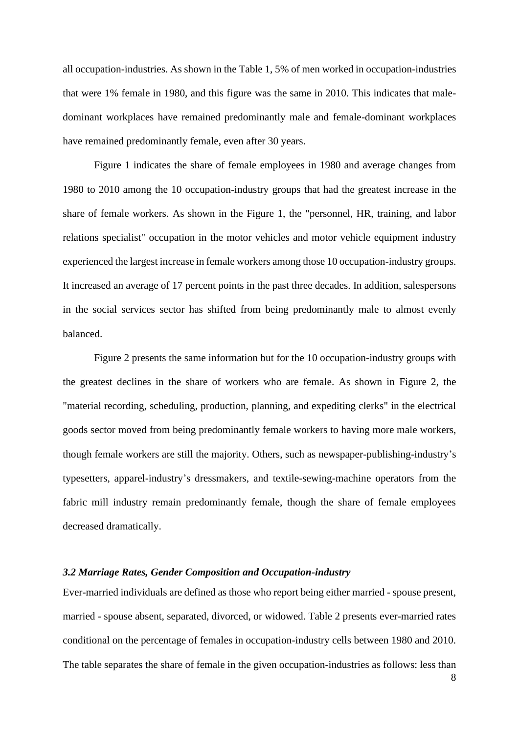all occupation-industries. As shown in the Table 1, 5% of men worked in occupation-industries that were 1% female in 1980, and this figure was the same in 2010. This indicates that maledominant workplaces have remained predominantly male and female-dominant workplaces have remained predominantly female, even after 30 years.

Figure 1 indicates the share of female employees in 1980 and average changes from 1980 to 2010 among the 10 occupation-industry groups that had the greatest increase in the share of female workers. As shown in the Figure 1, the "personnel, HR, training, and labor relations specialist" occupation in the motor vehicles and motor vehicle equipment industry experienced the largest increase in female workers among those 10 occupation-industry groups. It increased an average of 17 percent points in the past three decades. In addition, salespersons in the social services sector has shifted from being predominantly male to almost evenly balanced.

Figure 2 presents the same information but for the 10 occupation-industry groups with the greatest declines in the share of workers who are female. As shown in Figure 2, the "material recording, scheduling, production, planning, and expediting clerks" in the electrical goods sector moved from being predominantly female workers to having more male workers, though female workers are still the majority. Others, such as newspaper-publishing-industry's typesetters, apparel-industry's dressmakers, and textile-sewing-machine operators from the fabric mill industry remain predominantly female, though the share of female employees decreased dramatically.

### *3.2 Marriage Rates, Gender Composition and Occupation-industry*

Ever-married individuals are defined as those who report being either married - spouse present, married - spouse absent, separated, divorced, or widowed. Table 2 presents ever-married rates conditional on the percentage of females in occupation-industry cells between 1980 and 2010. The table separates the share of female in the given occupation-industries as follows: less than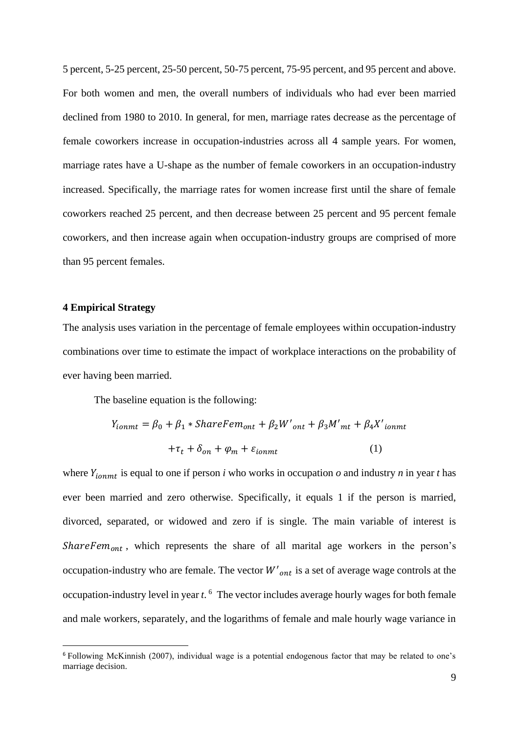5 percent, 5-25 percent, 25-50 percent, 50-75 percent, 75-95 percent, and 95 percent and above. For both women and men, the overall numbers of individuals who had ever been married declined from 1980 to 2010. In general, for men, marriage rates decrease as the percentage of female coworkers increase in occupation-industries across all 4 sample years. For women, marriage rates have a U-shape as the number of female coworkers in an occupation-industry increased. Specifically, the marriage rates for women increase first until the share of female coworkers reached 25 percent, and then decrease between 25 percent and 95 percent female coworkers, and then increase again when occupation-industry groups are comprised of more than 95 percent females.

# **4 Empirical Strategy**

The analysis uses variation in the percentage of female employees within occupation-industry combinations over time to estimate the impact of workplace interactions on the probability of ever having been married.

The baseline equation is the following:

$$
Y_{ionmt} = \beta_0 + \beta_1 *ShareFem_{ont} + \beta_2 W'_{ont} + \beta_3 M'_{mt} + \beta_4 X'_{ionmt}
$$

$$
+ \tau_t + \delta_{on} + \varphi_m + \varepsilon_{ionmt}
$$
(1)

where  $Y_{iommt}$  is equal to one if person *i* who works in occupation *o* and industry *n* in year *t* has ever been married and zero otherwise. Specifically, it equals 1 if the person is married, divorced, separated, or widowed and zero if is single. The main variable of interest is ShareFe $m_{ont}$ , which represents the share of all marital age workers in the person's occupation-industry who are female. The vector  $W'_{\text{ont}}$  is a set of average wage controls at the occupation-industry level in year *t*. <sup>6</sup> The vector includes average hourly wages for both female and male workers, separately, and the logarithms of female and male hourly wage variance in

<sup>6</sup> Following McKinnish (2007), individual wage is a potential endogenous factor that may be related to one's marriage decision.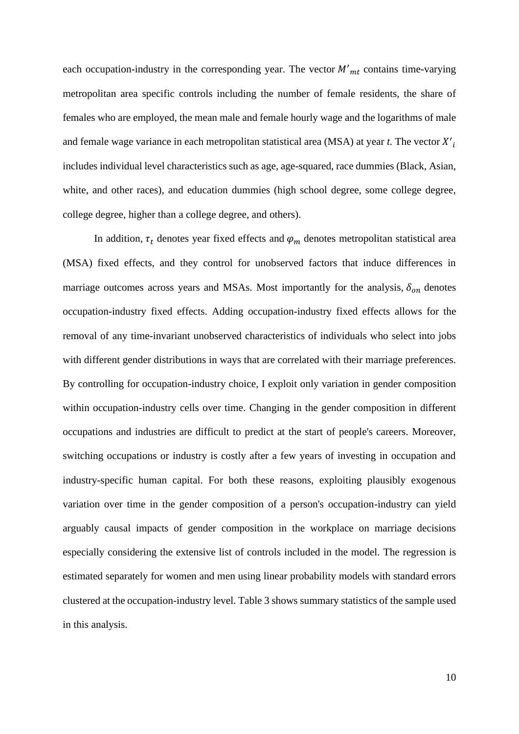each occupation-industry in the corresponding year. The vector  $M'_{mt}$  contains time-varying metropolitan area specific controls including the number of female residents, the share of females who are employed, the mean male and female hourly wage and the logarithms of male and female wage variance in each metropolitan statistical area (MSA) at year  $t$ . The vector  $X'$ <sub>i</sub> includes individual level characteristics such as age, age-squared, race dummies (Black, Asian, white, and other races), and education dummies (high school degree, some college degree, college degree, higher than a college degree, and others).

In addition,  $\tau_t$  denotes year fixed effects and  $\varphi_m$  denotes metropolitan statistical area (MSA) fixed effects, and they control for unobserved factors that induce differences in marriage outcomes across years and MSAs. Most importantly for the analysis,  $\delta_{on}$  denotes occupation-industry fixed effects. Adding occupation-industry fixed effects allows for the removal of any time-invariant unobserved characteristics of individuals who select into jobs with different gender distributions in ways that are correlated with their marriage preferences. By controlling for occupation-industry choice, I exploit only variation in gender composition within occupation-industry cells over time. Changing in the gender composition in different occupations and industries are difficult to predict at the start of people's careers. Moreover, switching occupations or industry is costly after a few years of investing in occupation and industry-specific human capital. For both these reasons, exploiting plausibly exogenous variation over time in the gender composition of a person's occupation-industry can yield arguably causal impacts of gender composition in the workplace on marriage decisions especially considering the extensive list of controls included in the model. The regression is estimated separately for women and men using linear probability models with standard errors clustered at the occupation-industry level. Table 3 shows summary statistics of the sample used in this analysis.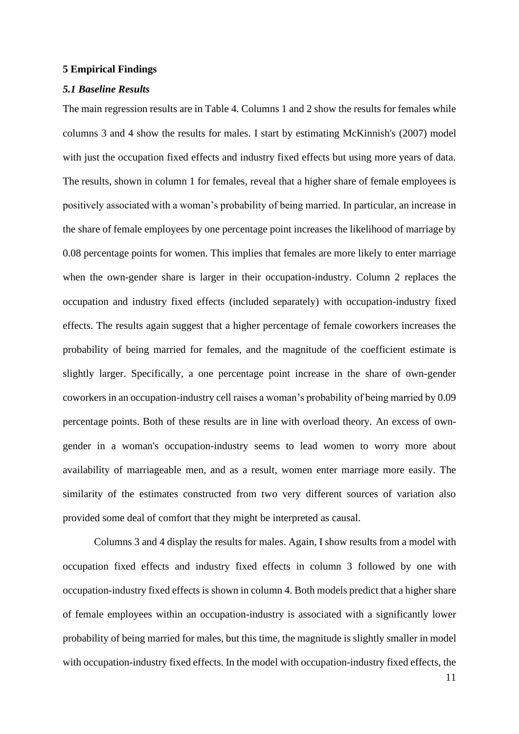#### **5 Empirical Findings**

## *5.1 Baseline Results*

The main regression results are in Table 4. Columns 1 and 2 show the results for females while columns 3 and 4 show the results for males. I start by estimating McKinnish's (2007) model with just the occupation fixed effects and industry fixed effects but using more years of data. The results, shown in column 1 for females, reveal that a higher share of female employees is positively associated with a woman's probability of being married. In particular, an increase in the share of female employees by one percentage point increases the likelihood of marriage by 0.08 percentage points for women. This implies that females are more likely to enter marriage when the own-gender share is larger in their occupation-industry. Column 2 replaces the occupation and industry fixed effects (included separately) with occupation-industry fixed effects. The results again suggest that a higher percentage of female coworkers increases the probability of being married for females, and the magnitude of the coefficient estimate is slightly larger. Specifically, a one percentage point increase in the share of own-gender coworkers in an occupation-industry cell raises a woman's probability of being married by 0.09 percentage points. Both of these results are in line with overload theory. An excess of owngender in a woman's occupation-industry seems to lead women to worry more about availability of marriageable men, and as a result, women enter marriage more easily. The similarity of the estimates constructed from two very different sources of variation also provided some deal of comfort that they might be interpreted as causal.

Columns 3 and 4 display the results for males. Again, I show results from a model with occupation fixed effects and industry fixed effects in column 3 followed by one with occupation-industry fixed effects is shown in column 4. Both models predict that a higher share of female employees within an occupation-industry is associated with a significantly lower probability of being married for males, but this time, the magnitude is slightly smaller in model with occupation-industry fixed effects. In the model with occupation-industry fixed effects, the

11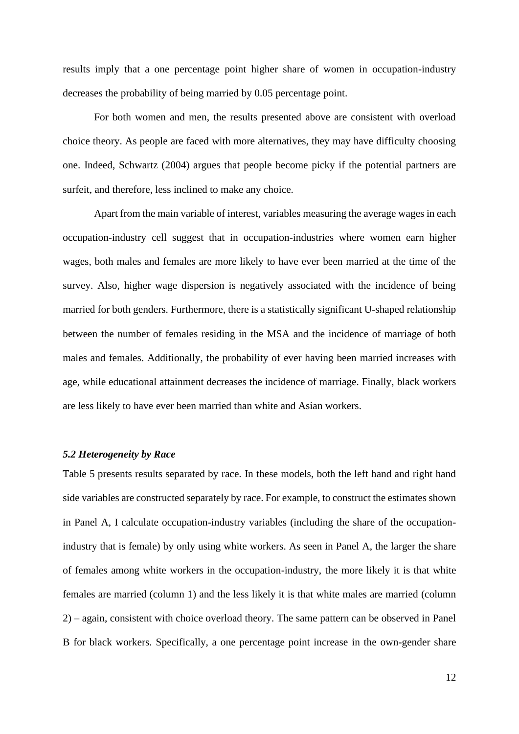results imply that a one percentage point higher share of women in occupation-industry decreases the probability of being married by 0.05 percentage point.

For both women and men, the results presented above are consistent with overload choice theory. As people are faced with more alternatives, they may have difficulty choosing one. Indeed, Schwartz (2004) argues that people become picky if the potential partners are surfeit, and therefore, less inclined to make any choice.

Apart from the main variable of interest, variables measuring the average wages in each occupation-industry cell suggest that in occupation-industries where women earn higher wages, both males and females are more likely to have ever been married at the time of the survey. Also, higher wage dispersion is negatively associated with the incidence of being married for both genders. Furthermore, there is a statistically significant U-shaped relationship between the number of females residing in the MSA and the incidence of marriage of both males and females. Additionally, the probability of ever having been married increases with age, while educational attainment decreases the incidence of marriage. Finally, black workers are less likely to have ever been married than white and Asian workers.

# *5.2 Heterogeneity by Race*

Table 5 presents results separated by race. In these models, both the left hand and right hand side variables are constructed separately by race. For example, to construct the estimates shown in Panel A, I calculate occupation-industry variables (including the share of the occupationindustry that is female) by only using white workers. As seen in Panel A, the larger the share of females among white workers in the occupation-industry, the more likely it is that white females are married (column 1) and the less likely it is that white males are married (column 2) – again, consistent with choice overload theory. The same pattern can be observed in Panel B for black workers. Specifically, a one percentage point increase in the own-gender share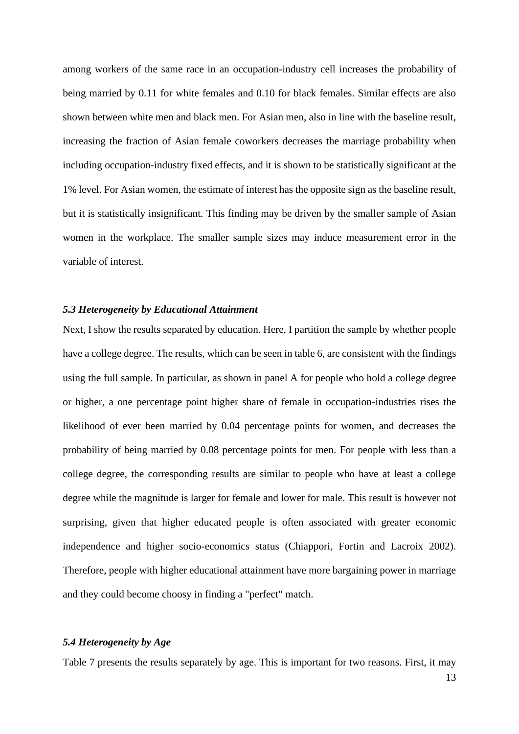among workers of the same race in an occupation-industry cell increases the probability of being married by 0.11 for white females and 0.10 for black females. Similar effects are also shown between white men and black men. For Asian men, also in line with the baseline result, increasing the fraction of Asian female coworkers decreases the marriage probability when including occupation-industry fixed effects, and it is shown to be statistically significant at the 1% level. For Asian women, the estimate of interest has the opposite sign as the baseline result, but it is statistically insignificant. This finding may be driven by the smaller sample of Asian women in the workplace. The smaller sample sizes may induce measurement error in the variable of interest.

# *5.3 Heterogeneity by Educational Attainment*

Next, I show the results separated by education. Here, I partition the sample by whether people have a college degree. The results, which can be seen in table 6, are consistent with the findings using the full sample. In particular, as shown in panel A for people who hold a college degree or higher, a one percentage point higher share of female in occupation-industries rises the likelihood of ever been married by 0.04 percentage points for women, and decreases the probability of being married by 0.08 percentage points for men. For people with less than a college degree, the corresponding results are similar to people who have at least a college degree while the magnitude is larger for female and lower for male. This result is however not surprising, given that higher educated people is often associated with greater economic independence and higher socio-economics status (Chiappori, Fortin and Lacroix 2002). Therefore, people with higher educational attainment have more bargaining power in marriage and they could become choosy in finding a "perfect" match.

#### *5.4 Heterogeneity by Age*

Table 7 presents the results separately by age. This is important for two reasons. First, it may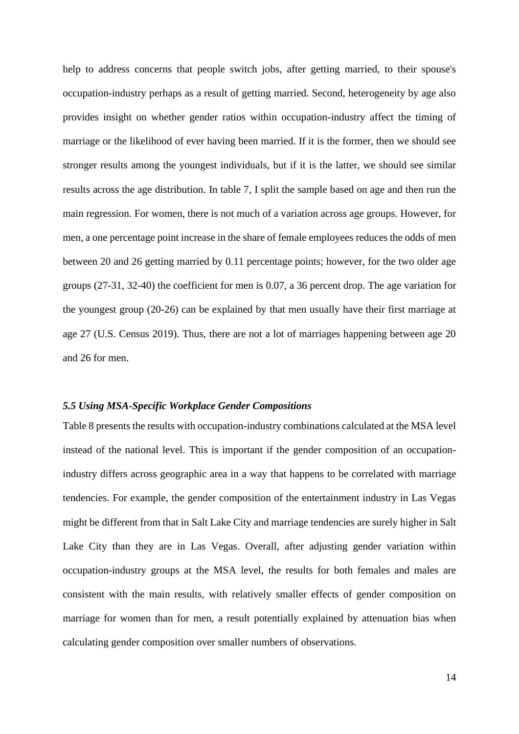help to address concerns that people switch jobs, after getting married, to their spouse's occupation-industry perhaps as a result of getting married. Second, heterogeneity by age also provides insight on whether gender ratios within occupation-industry affect the timing of marriage or the likelihood of ever having been married. If it is the former, then we should see stronger results among the youngest individuals, but if it is the latter, we should see similar results across the age distribution. In table 7, I split the sample based on age and then run the main regression. For women, there is not much of a variation across age groups. However, for men, a one percentage point increase in the share of female employees reduces the odds of men between 20 and 26 getting married by 0.11 percentage points; however, for the two older age groups (27-31, 32-40) the coefficient for men is 0.07, a 36 percent drop. The age variation for the youngest group (20-26) can be explained by that men usually have their first marriage at age 27 (U.S. Census 2019). Thus, there are not a lot of marriages happening between age 20 and 26 for men.

#### *5.5 Using MSA-Specific Workplace Gender Compositions*

Table 8 presents the results with occupation-industry combinations calculated at the MSA level instead of the national level. This is important if the gender composition of an occupationindustry differs across geographic area in a way that happens to be correlated with marriage tendencies. For example, the gender composition of the entertainment industry in Las Vegas might be different from that in Salt Lake City and marriage tendencies are surely higher in Salt Lake City than they are in Las Vegas. Overall, after adjusting gender variation within occupation-industry groups at the MSA level, the results for both females and males are consistent with the main results, with relatively smaller effects of gender composition on marriage for women than for men, a result potentially explained by attenuation bias when calculating gender composition over smaller numbers of observations.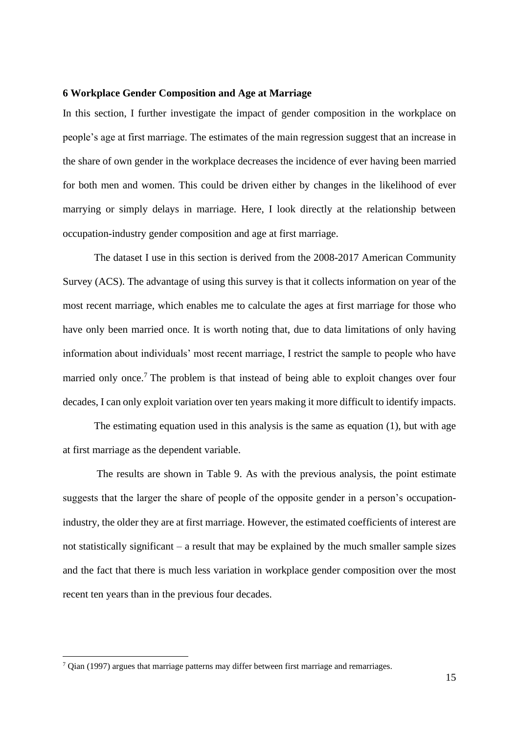## **6 Workplace Gender Composition and Age at Marriage**

In this section, I further investigate the impact of gender composition in the workplace on people's age at first marriage. The estimates of the main regression suggest that an increase in the share of own gender in the workplace decreases the incidence of ever having been married for both men and women. This could be driven either by changes in the likelihood of ever marrying or simply delays in marriage. Here, I look directly at the relationship between occupation-industry gender composition and age at first marriage.

The dataset I use in this section is derived from the 2008-2017 American Community Survey (ACS). The advantage of using this survey is that it collects information on year of the most recent marriage, which enables me to calculate the ages at first marriage for those who have only been married once. It is worth noting that, due to data limitations of only having information about individuals' most recent marriage, I restrict the sample to people who have married only once.<sup>7</sup> The problem is that instead of being able to exploit changes over four decades, I can only exploit variation over ten years making it more difficult to identify impacts.

The estimating equation used in this analysis is the same as equation (1), but with age at first marriage as the dependent variable.

The results are shown in Table 9. As with the previous analysis, the point estimate suggests that the larger the share of people of the opposite gender in a person's occupationindustry, the older they are at first marriage. However, the estimated coefficients of interest are not statistically significant – a result that may be explained by the much smaller sample sizes and the fact that there is much less variation in workplace gender composition over the most recent ten years than in the previous four decades.

 $7$  Qian (1997) argues that marriage patterns may differ between first marriage and remarriages.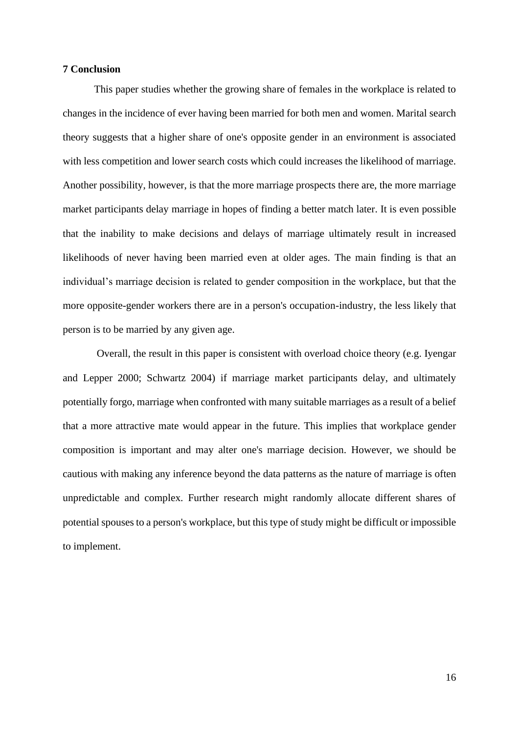## **7 Conclusion**

This paper studies whether the growing share of females in the workplace is related to changes in the incidence of ever having been married for both men and women. Marital search theory suggests that a higher share of one's opposite gender in an environment is associated with less competition and lower search costs which could increases the likelihood of marriage. Another possibility, however, is that the more marriage prospects there are, the more marriage market participants delay marriage in hopes of finding a better match later. It is even possible that the inability to make decisions and delays of marriage ultimately result in increased likelihoods of never having been married even at older ages. The main finding is that an individual's marriage decision is related to gender composition in the workplace, but that the more opposite-gender workers there are in a person's occupation-industry, the less likely that person is to be married by any given age.

Overall, the result in this paper is consistent with overload choice theory (e.g. Iyengar and Lepper 2000; Schwartz 2004) if marriage market participants delay, and ultimately potentially forgo, marriage when confronted with many suitable marriages as a result of a belief that a more attractive mate would appear in the future. This implies that workplace gender composition is important and may alter one's marriage decision. However, we should be cautious with making any inference beyond the data patterns as the nature of marriage is often unpredictable and complex. Further research might randomly allocate different shares of potential spouses to a person's workplace, but this type of study might be difficult or impossible to implement.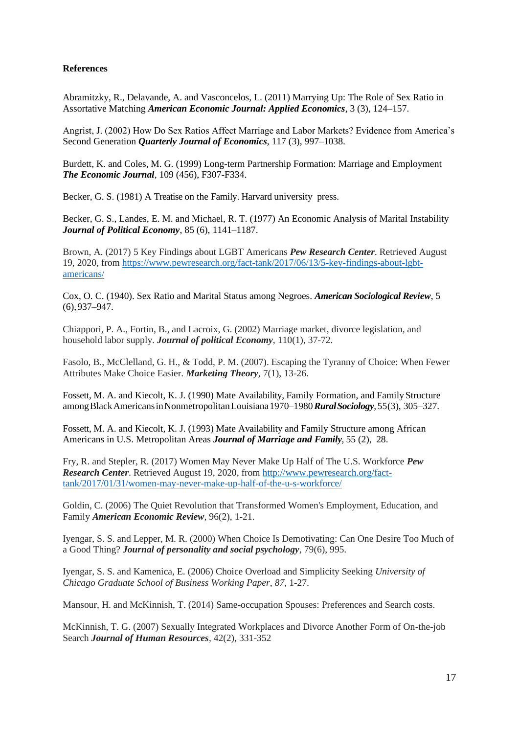# **References**

Abramitzky, R., Delavande, A. and Vasconcelos, L. (2011) Marrying Up: The Role of Sex Ratio in Assortative Matching *American Economic Journal: Applied Economics*, 3 (3), 124–157.

Angrist, J. (2002) How Do Sex Ratios Affect Marriage and Labor Markets? Evidence from America's Second Generation *Quarterly Journal of Economics*, 117 (3), 997–1038.

Burdett, K. and Coles, M. G. (1999) Long-term Partnership Formation: Marriage and Employment *The Economic Journal*, 109 (456), F307-F334.

Becker, G. S. (1981) A Treatise on the Family. Harvard university press.

Becker, G. S., Landes, E. M. and Michael, R. T. (1977) An Economic Analysis of Marital Instability *Journal of Political Economy*, 85 (6), 1141–1187.

Brown, A. (2017) 5 Key Findings about LGBT Americans *Pew Research Center*. Retrieved August 19, 2020, from [https://www.pewresearch.org/fact-tank/2017/06/13/5-key-findings-about-lgbt](https://www.pewresearch.org/fact-tank/2017/06/13/5-key-findings-about-lgbt-americans/)[americans/](https://www.pewresearch.org/fact-tank/2017/06/13/5-key-findings-about-lgbt-americans/)

Cox, O. C. (1940). Sex Ratio and Marital Status among Negroes. *American Sociological Review*, 5 (6),937–947.

Chiappori, P. A., Fortin, B., and Lacroix, G. (2002) Marriage market, divorce legislation, and household labor supply. *Journal of political Economy*, 110(1), 37-72.

Fasolo, B., McClelland, G. H., & Todd, P. M. (2007). Escaping the Tyranny of Choice: When Fewer Attributes Make Choice Easier. *Marketing Theory*, 7(1), 13-26.

Fossett, M. A. and Kiecolt, K. J. (1990) Mate Availability, Family Formation, and Family Structure amongBlackAmericansinNonmetropolitanLouisiana1970–1980*RuralSociology*,55(3), 305–327.

Fossett, M. A. and Kiecolt, K. J. (1993) Mate Availability and Family Structure among African Americans in U.S. Metropolitan Areas *Journal of Marriage and Family*, 55 (2), 28.

Fry, R. and Stepler, R. (2017) Women May Never Make Up Half of The U.S. Workforce *Pew Research Center*. Retrieved August 19, 2020, from [http://www.pewresearch.org/fact](http://www.pewresearch.org/fact-tank/2017/01/31/women-may-never-make-up-half-of-the-u-s-workforce/)[tank/2017/01/31/women-may-never-make-up-half-of-the-u-s-workforce/](http://www.pewresearch.org/fact-tank/2017/01/31/women-may-never-make-up-half-of-the-u-s-workforce/)

Goldin, C. (2006) The Quiet Revolution that Transformed Women's Employment, Education, and Family *American Economic Review*, 96(2), 1-21.

Iyengar, S. S. and Lepper, M. R. (2000) When Choice Is Demotivating: Can One Desire Too Much of a Good Thing? *Journal of personality and social psychology*, 79(6), 995.

Iyengar, S. S. and Kamenica, E. (2006) Choice Overload and Simplicity Seeking *University of Chicago Graduate School of Business Working Paper*, *87*, 1-27.

Mansour, H. and McKinnish, T. (2014) Same-occupation Spouses: Preferences and Search costs.

McKinnish, T. G. (2007) Sexually Integrated Workplaces and Divorce Another Form of On-the-job Search *Journal of Human Resources*, 42(2), 331-352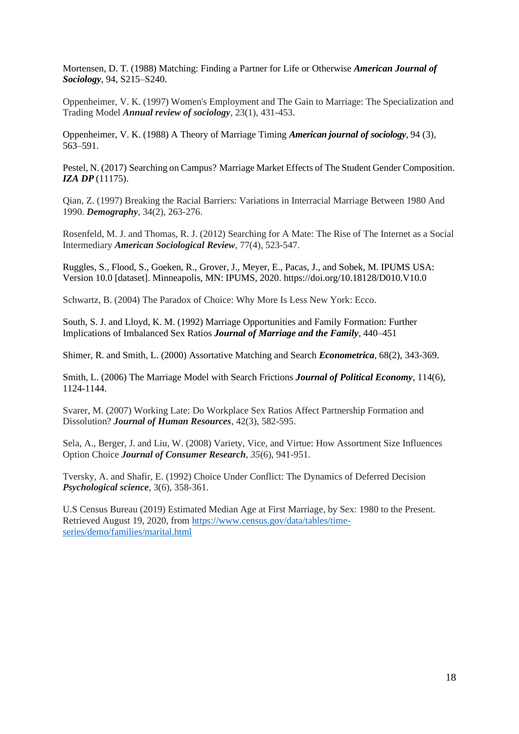Mortensen, D. T. (1988) Matching: Finding a Partner for Life or Otherwise *American Journal of Sociology*, 94, S215–S240.

Oppenheimer, V. K. (1997) Women's Employment and The Gain to Marriage: The Specialization and Trading Model *Annual review of sociology*, 23(1), 431-453.

Oppenheimer, V. K. (1988) A Theory of Marriage Timing *American journal of sociology*, 94 (3), 563–591.

Pestel, N. (2017) Searching on Campus? Marriage Market Effects of The Student Gender Composition. *IZA DP* (11175).

Qian, Z. (1997) Breaking the Racial Barriers: Variations in Interracial Marriage Between 1980 And 1990. *Demography*, 34(2), 263-276.

Rosenfeld, M. J. and Thomas, R. J. (2012) Searching for A Mate: The Rise of The Internet as a Social Intermediary *American Sociological Review*, 77(4), 523-547.

Ruggles, S., Flood, S., Goeken, R., Grover, J., Meyer, E., Pacas, J., and Sobek, M. IPUMS USA: Version 10.0 [dataset]. Minneapolis, MN: IPUMS, 2020. https://doi.org/10.18128/D010.V10.0

Schwartz, B. (2004) The Paradox of Choice: Why More Is Less New York: Ecco.

South, S. J. and Lloyd, K. M. (1992) Marriage Opportunities and Family Formation: Further Implications of Imbalanced Sex Ratios *Journal of Marriage and the Family,* 440–451

Shimer, R. and Smith, L. (2000) Assortative Matching and Search *Econometrica*, 68(2), 343-369.

Smith, L. (2006) The Marriage Model with Search Frictions *Journal of Political Economy*, 114(6), 1124-1144.

Svarer, M. (2007) Working Late: Do Workplace Sex Ratios Affect Partnership Formation and Dissolution? *Journal of Human Resources*, 42(3), 582-595.

Sela, A., Berger, J. and Liu, W. (2008) Variety, Vice, and Virtue: How Assortment Size Influences Option Choice *Journal of Consumer Research*, *35*(6), 941-951.

Tversky, A. and Shafir, E. (1992) Choice Under Conflict: The Dynamics of Deferred Decision *Psychological science*, 3(6), 358-361.

U.S Census Bureau (2019) Estimated Median Age at First Marriage, by Sex: 1980 to the Present. Retrieved August 19, 2020, from [https://www.census.gov/data/tables/time](https://www.census.gov/data/tables/time-series/demo/families/marital.html)[series/demo/families/marital.html](https://www.census.gov/data/tables/time-series/demo/families/marital.html)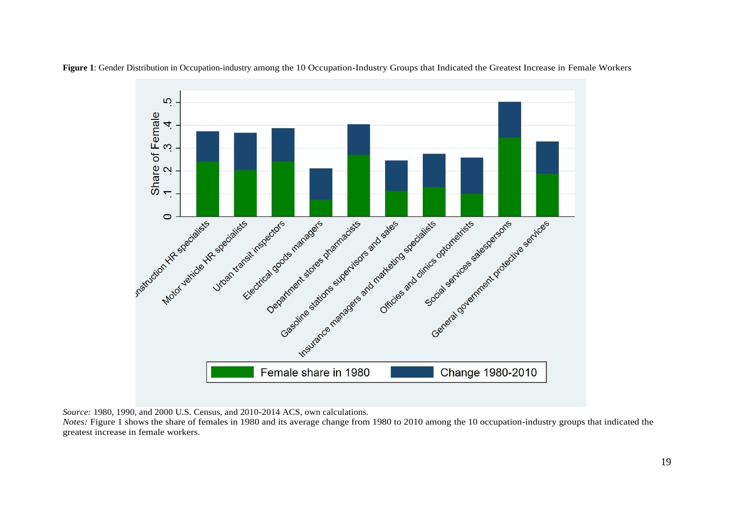

**Figure 1**: Gender Distribution in Occupation-industry among the 10 Occupation-Industry Groups that Indicated the Greatest Increase in Female Workers

*Source:* 1980, 1990, and 2000 U.S. Census, and 2010-2014 ACS, own calculations.

*Notes:* Figure 1 shows the share of females in 1980 and its average change from 1980 to 2010 among the 10 occupation-industry groups that indicated the greatest increase in female workers.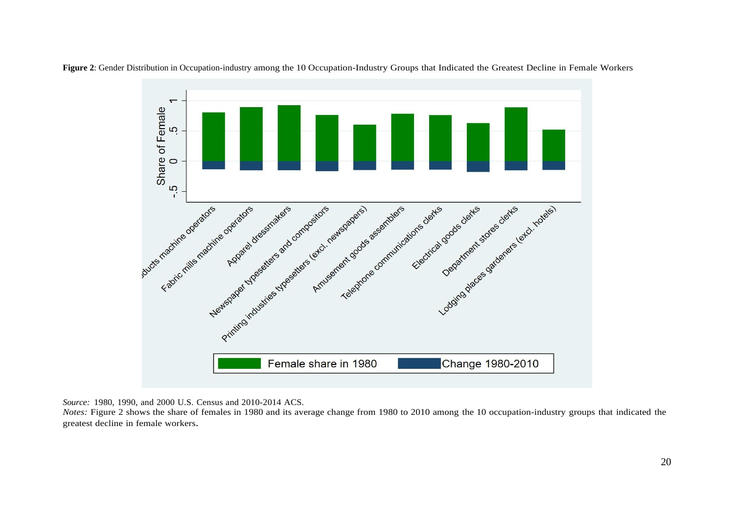

**Figure 2**: Gender Distribution in Occupation-industry among the 10 Occupation-Industry Groups that Indicated the Greatest Decline in Female Workers

*Source:* 1980, 1990, and 2000 U.S. Census and 2010-2014 ACS.

*Notes:* Figure 2 shows the share of females in 1980 and its average change from 1980 to 2010 among the 10 occupation-industry groups that indicated the greatest decline in female workers.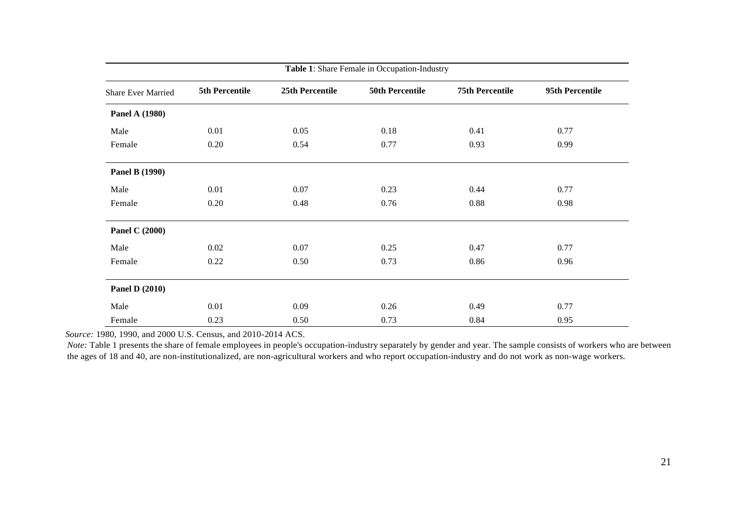| Table 1: Share Female in Occupation-Industry |                |                 |                        |                        |                 |
|----------------------------------------------|----------------|-----------------|------------------------|------------------------|-----------------|
| <b>Share Ever Married</b>                    | 5th Percentile | 25th Percentile | <b>50th Percentile</b> | <b>75th Percentile</b> | 95th Percentile |
| <b>Panel A (1980)</b>                        |                |                 |                        |                        |                 |
| Male                                         | 0.01           | 0.05            | 0.18                   | 0.41                   | 0.77            |
| Female                                       | 0.20           | 0.54            | 0.77                   | 0.93                   | 0.99            |
| <b>Panel B (1990)</b>                        |                |                 |                        |                        |                 |
| Male                                         | 0.01           | 0.07            | 0.23                   | 0.44                   | 0.77            |
| Female                                       | 0.20           | 0.48            | 0.76                   | 0.88                   | 0.98            |
| <b>Panel C (2000)</b>                        |                |                 |                        |                        |                 |
| Male                                         | 0.02           | 0.07            | 0.25                   | 0.47                   | 0.77            |
| Female                                       | 0.22           | 0.50            | 0.73                   | 0.86                   | 0.96            |
| <b>Panel D (2010)</b>                        |                |                 |                        |                        |                 |
| Male                                         | 0.01           | 0.09            | 0.26                   | 0.49                   | 0.77            |
| Female                                       | 0.23           | 0.50            | 0.73                   | 0.84                   | 0.95            |

*Note*: Table 1 presents the share of female employees in people's occupation-industry separately by gender and year. The sample consists of workers who are between the ages of 18 and 40, are non-institutionalized, are non-agricultural workers and who report occupation-industry and do not work as non-wage workers.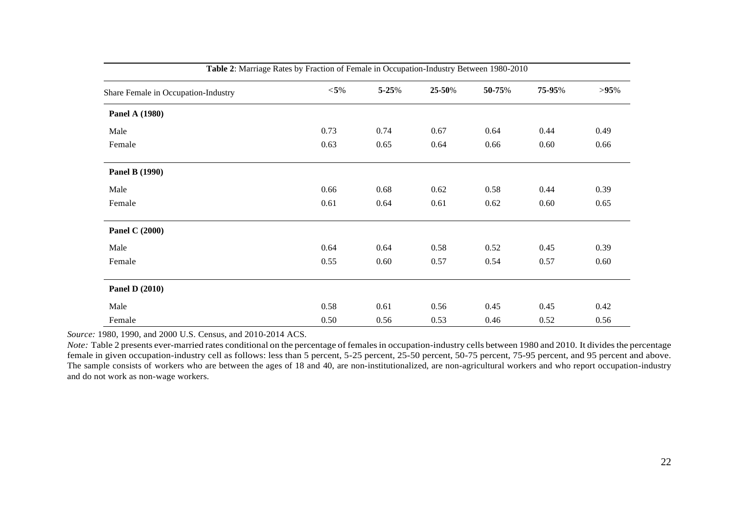| Table 2: Marriage Rates by Fraction of Female in Occupation-Industry Between 1980-2010 |        |       |        |        |        |         |
|----------------------------------------------------------------------------------------|--------|-------|--------|--------|--------|---------|
| Share Female in Occupation-Industry                                                    | $<$ 5% | 5-25% | 25-50% | 50-75% | 75-95% | $>95\%$ |
| <b>Panel A (1980)</b>                                                                  |        |       |        |        |        |         |
| Male                                                                                   | 0.73   | 0.74  | 0.67   | 0.64   | 0.44   | 0.49    |
| Female                                                                                 | 0.63   | 0.65  | 0.64   | 0.66   | 0.60   | 0.66    |
| <b>Panel B (1990)</b>                                                                  |        |       |        |        |        |         |
| Male                                                                                   | 0.66   | 0.68  | 0.62   | 0.58   | 0.44   | 0.39    |
| Female                                                                                 | 0.61   | 0.64  | 0.61   | 0.62   | 0.60   | 0.65    |
| <b>Panel C (2000)</b>                                                                  |        |       |        |        |        |         |
| Male                                                                                   | 0.64   | 0.64  | 0.58   | 0.52   | 0.45   | 0.39    |
| Female                                                                                 | 0.55   | 0.60  | 0.57   | 0.54   | 0.57   | 0.60    |
| <b>Panel D (2010)</b>                                                                  |        |       |        |        |        |         |
| Male                                                                                   | 0.58   | 0.61  | 0.56   | 0.45   | 0.45   | 0.42    |
| Female                                                                                 | 0.50   | 0.56  | 0.53   | 0.46   | 0.52   | 0.56    |

*Note*: Table 2 presents ever-married rates conditional on the percentage of females in occupation-industry cells between 1980 and 2010. It divides the percentage female in given occupation-industry cell as follows: less than 5 percent, 5-25 percent, 25-50 percent, 50-75 percent, 75-95 percent, and 95 percent and above. The sample consists of workers who are between the ages of 18 and 40, are non-institutionalized, are non-agricultural workers and who report occupation-industry and do not work as non-wage workers.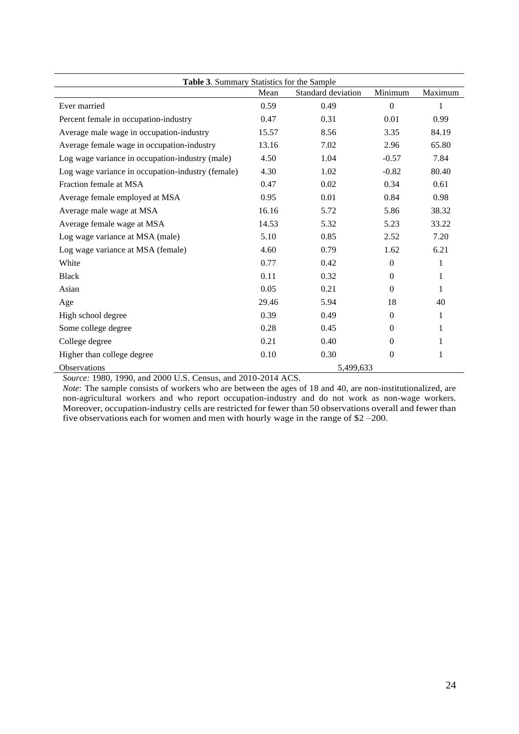| Table 3. Summary Statistics for the Sample        |                |                    |                  |              |  |
|---------------------------------------------------|----------------|--------------------|------------------|--------------|--|
|                                                   | Mean           | Standard deviation | Minimum          | Maximum      |  |
| Ever married                                      | 0.59           | 0.49               | $\theta$         | 1            |  |
| Percent female in occupation-industry             | 0.47           | 0.31               | 0.01             | 0.99         |  |
| Average male wage in occupation-industry          | 15.57          | 8.56               | 3.35             | 84.19        |  |
| Average female wage in occupation-industry        | 13.16          | 7.02               | 2.96             | 65.80        |  |
| Log wage variance in occupation-industry (male)   | 4.50           | 1.04               | $-0.57$          | 7.84         |  |
| Log wage variance in occupation-industry (female) | 4.30           | 1.02               | $-0.82$          | 80.40        |  |
| Fraction female at MSA                            | 0.47           | 0.02               | 0.34             | 0.61         |  |
| Average female employed at MSA                    | 0.95           | 0.01               | 0.84             | 0.98         |  |
| Average male wage at MSA                          | 16.16          | 5.72               | 5.86             | 38.32        |  |
| Average female wage at MSA                        | 14.53          | 5.32               | 5.23             | 33.22        |  |
| Log wage variance at MSA (male)                   | 5.10           | 0.85               | 2.52             | 7.20         |  |
| Log wage variance at MSA (female)                 | 4.60           | 0.79               | 1.62             | 6.21         |  |
| White                                             | 0.77           | 0.42               | $\boldsymbol{0}$ | 1            |  |
| <b>Black</b>                                      | 0.11           | 0.32               | $\theta$         | 1            |  |
| Asian                                             | 0.05           | 0.21               | $\Omega$         | 1            |  |
| Age                                               | 29.46          | 5.94               | 18               | 40           |  |
| High school degree                                | 0.39           | 0.49               | $\Omega$         | $\mathbf{1}$ |  |
| Some college degree                               | 0.28           | 0.45               | $\Omega$         | 1            |  |
| College degree                                    | 0.21           | 0.40               | $\Omega$         | 1            |  |
| Higher than college degree                        | 0.10           | 0.30               | 0                | 1            |  |
| Observations<br>$1000 - 1000$<br>1.0000110Z       | 1.0010.0011.00 | 5,499,633          |                  |              |  |

*Note*: The sample consists of workers who are between the ages of 18 and 40, are non-institutionalized, are non-agricultural workers and who report occupation-industry and do not work as non-wage workers. Moreover, occupation-industry cells are restricted for fewer than 50 observations overall and fewer than five observations each for women and men with hourly wage in the range of \$2 *–*200.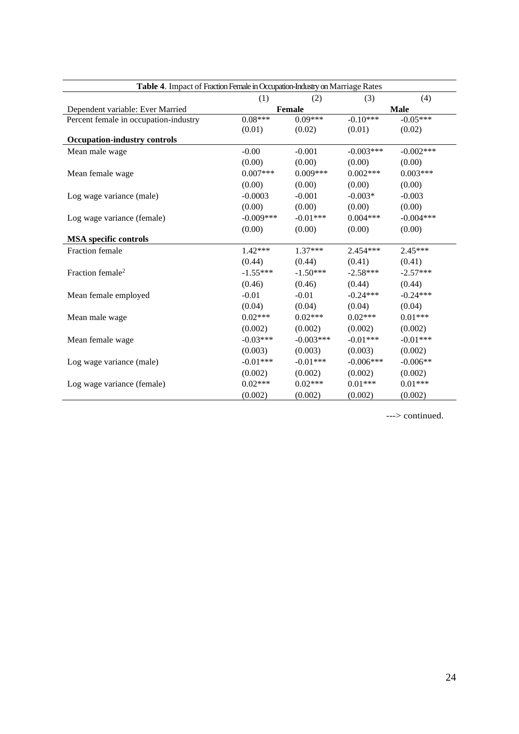| Table 4. Impact of Fraction Female in Occupation-Industry on Marriage Rates |             |             |             |             |  |
|-----------------------------------------------------------------------------|-------------|-------------|-------------|-------------|--|
|                                                                             | (1)         | (2)         | (3)         | (4)         |  |
| Dependent variable: Ever Married                                            |             | Female      |             | <b>Male</b> |  |
| Percent female in occupation-industry                                       | $0.08***$   | $0.09***$   | $-0.10***$  | $-0.05***$  |  |
|                                                                             | (0.01)      | (0.02)      | (0.01)      | (0.02)      |  |
| <b>Occupation-industry controls</b>                                         |             |             |             |             |  |
| Mean male wage                                                              | $-0.00$     | $-0.001$    | $-0.003***$ | $-0.002***$ |  |
|                                                                             | (0.00)      | (0.00)      | (0.00)      | (0.00)      |  |
| Mean female wage                                                            | $0.007***$  | $0.009***$  | $0.002***$  | $0.003***$  |  |
|                                                                             | (0.00)      | (0.00)      | (0.00)      | (0.00)      |  |
| Log wage variance (male)                                                    | $-0.0003$   | $-0.001$    | $-0.003*$   | $-0.003$    |  |
|                                                                             | (0.00)      | (0.00)      | (0.00)      | (0.00)      |  |
| Log wage variance (female)                                                  | $-0.009***$ | $-0.01***$  | $0.004***$  | $-0.004***$ |  |
|                                                                             | (0.00)      | (0.00)      | (0.00)      | (0.00)      |  |
| <b>MSA</b> specific controls                                                |             |             |             |             |  |
| Fraction female                                                             | $1.42***$   | $1.37***$   | $2.454***$  | $2.45***$   |  |
|                                                                             | (0.44)      | (0.44)      | (0.41)      | (0.41)      |  |
| Fraction female <sup>2</sup>                                                | $-1.55***$  | $-1.50***$  | $-2.58***$  | $-2.57***$  |  |
|                                                                             | (0.46)      | (0.46)      | (0.44)      | (0.44)      |  |
| Mean female employed                                                        | $-0.01$     | $-0.01$     | $-0.24***$  | $-0.24***$  |  |
|                                                                             | (0.04)      | (0.04)      | (0.04)      | (0.04)      |  |
| Mean male wage                                                              | $0.02***$   | $0.02***$   | $0.02***$   | $0.01***$   |  |
|                                                                             | (0.002)     | (0.002)     | (0.002)     | (0.002)     |  |
| Mean female wage                                                            | $-0.03***$  | $-0.003***$ | $-0.01***$  | $-0.01***$  |  |
|                                                                             | (0.003)     | (0.003)     | (0.003)     | (0.002)     |  |
| Log wage variance (male)                                                    | $-0.01***$  | $-0.01***$  | $-0.006***$ | $-0.006**$  |  |
|                                                                             | (0.002)     | (0.002)     | (0.002)     | (0.002)     |  |
| Log wage variance (female)                                                  | $0.02***$   | $0.02***$   | $0.01***$   | $0.01***$   |  |
|                                                                             | (0.002)     | (0.002)     | (0.002)     | (0.002)     |  |

---> continued.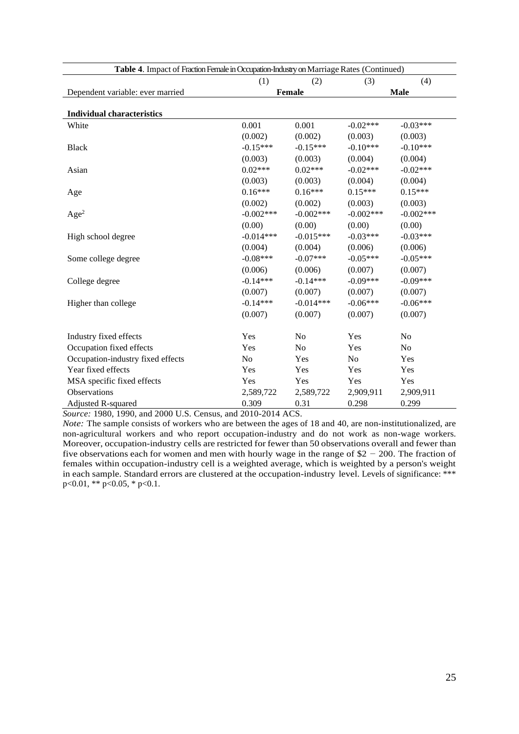| Table 4. Impact of Fraction Female in Occupation-Industry on Marriage Rates (Continued) |             |                |                |                |
|-----------------------------------------------------------------------------------------|-------------|----------------|----------------|----------------|
|                                                                                         | (1)         | (2)            | (3)            | (4)            |
| Dependent variable: ever married                                                        |             | <b>Female</b>  |                | <b>Male</b>    |
|                                                                                         |             |                |                |                |
| <b>Individual characteristics</b>                                                       |             |                |                |                |
| White                                                                                   | 0.001       | 0.001          | $-0.02***$     | $-0.03***$     |
|                                                                                         | (0.002)     | (0.002)        | (0.003)        | (0.003)        |
| <b>Black</b>                                                                            | $-0.15***$  | $-0.15***$     | $-0.10***$     | $-0.10***$     |
|                                                                                         | (0.003)     | (0.003)        | (0.004)        | (0.004)        |
| Asian                                                                                   | $0.02***$   | $0.02***$      | $-0.02***$     | $-0.02***$     |
|                                                                                         | (0.003)     | (0.003)        | (0.004)        | (0.004)        |
| Age                                                                                     | $0.16***$   | $0.16***$      | $0.15***$      | $0.15***$      |
|                                                                                         | (0.002)     | (0.002)        | (0.003)        | (0.003)        |
| Age <sup>2</sup>                                                                        | $-0.002***$ | $-0.002***$    | $-0.002***$    | $-0.002***$    |
|                                                                                         | (0.00)      | (0.00)         | (0.00)         | (0.00)         |
| High school degree                                                                      | $-0.014***$ | $-0.015***$    | $-0.03***$     | $-0.03***$     |
|                                                                                         | (0.004)     | (0.004)        | (0.006)        | (0.006)        |
| Some college degree                                                                     | $-0.08***$  | $-0.07***$     | $-0.05***$     | $-0.05***$     |
|                                                                                         | (0.006)     | (0.006)        | (0.007)        | (0.007)        |
| College degree                                                                          | $-0.14***$  | $-0.14***$     | $-0.09***$     | $-0.09***$     |
|                                                                                         | (0.007)     | (0.007)        | (0.007)        | (0.007)        |
| Higher than college                                                                     | $-0.14***$  | $-0.014***$    | $-0.06***$     | $-0.06***$     |
|                                                                                         | (0.007)     | (0.007)        | (0.007)        | (0.007)        |
|                                                                                         |             |                |                |                |
| Industry fixed effects                                                                  | Yes         | N <sub>o</sub> | Yes            | N <sub>o</sub> |
| Occupation fixed effects                                                                | Yes         | No             | Yes            | No             |
| Occupation-industry fixed effects                                                       | No          | Yes            | N <sub>o</sub> | Yes            |
| Year fixed effects                                                                      | Yes         | Yes            | Yes            | Yes            |
| MSA specific fixed effects                                                              | Yes         | Yes            | Yes            | Yes            |
| Observations                                                                            | 2,589,722   | 2,589,722      | 2,909,911      | 2,909,911      |
| Adjusted R-squared                                                                      | 0.309       | 0.31           | 0.298          | 0.299          |

*Note:* The sample consists of workers who are between the ages of 18 and 40, are non-institutionalized, are non-agricultural workers and who report occupation-industry and do not work as non-wage workers. Moreover, occupation-industry cells are restricted for fewer than 50 observations overall and fewer than five observations each for women and men with hourly wage in the range of \$2 *−* 200. The fraction of females within occupation-industry cell is a weighted average, which is weighted by a person's weight in each sample. Standard errors are clustered at the occupation-industry level. Levels of significance: \*\*\*  $p<0.01$ , \*\*  $p<0.05$ , \*  $p<0.1$ .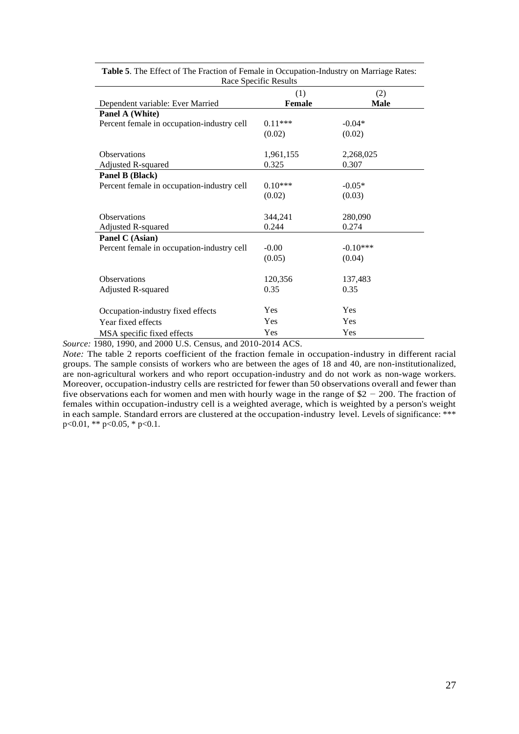|                                            | (1)              | (2)              |
|--------------------------------------------|------------------|------------------|
| Dependent variable: Ever Married           | <b>Female</b>    | <b>Male</b>      |
| Panel A (White)                            |                  |                  |
| Percent female in occupation-industry cell | $0.11***$        | $-0.04*$         |
|                                            | (0.02)           | (0.02)           |
| <b>Observations</b>                        | 1,961,155        | 2,268,025        |
| Adjusted R-squared                         | 0.325            | 0.307            |
| Panel B (Black)                            |                  |                  |
| Percent female in occupation-industry cell | $0.10***$        | $-0.05*$         |
|                                            | (0.02)           | (0.03)           |
| <b>Observations</b>                        |                  |                  |
| Adjusted R-squared                         | 344,241<br>0.244 | 280,090<br>0.274 |
| Panel C (Asian)                            |                  |                  |
| Percent female in occupation-industry cell | $-0.00$          | $-0.10***$       |
|                                            | (0.05)           | (0.04)           |
|                                            |                  |                  |
| <b>Observations</b>                        | 120,356          | 137,483          |
| Adjusted R-squared                         | 0.35             | 0.35             |
|                                            | <b>Yes</b>       | Yes              |
| Occupation-industry fixed effects          |                  |                  |
| Year fixed effects                         | Yes              | Yes              |
| MSA specific fixed effects                 | Yes              | Yes              |

**Table 5**. The Effect of The Fraction of Female in Occupation-Industry on Marriage Rates: Race Specific Results

*Source:* 1980, 1990, and 2000 U.S. Census, and 2010-2014 ACS.

*Note:* The table 2 reports coefficient of the fraction female in occupation-industry in different racial groups. The sample consists of workers who are between the ages of 18 and 40, are non-institutionalized, are non-agricultural workers and who report occupation-industry and do not work as non-wage workers. Moreover, occupation-industry cells are restricted for fewer than 50 observations overall and fewer than five observations each for women and men with hourly wage in the range of \$2 *−* 200. The fraction of females within occupation-industry cell is a weighted average, which is weighted by a person's weight in each sample. Standard errors are clustered at the occupation-industry level. Levels of significance: \*\*\*  $p<0.01$ , \*\*  $p<0.05$ , \*  $p<0.1$ .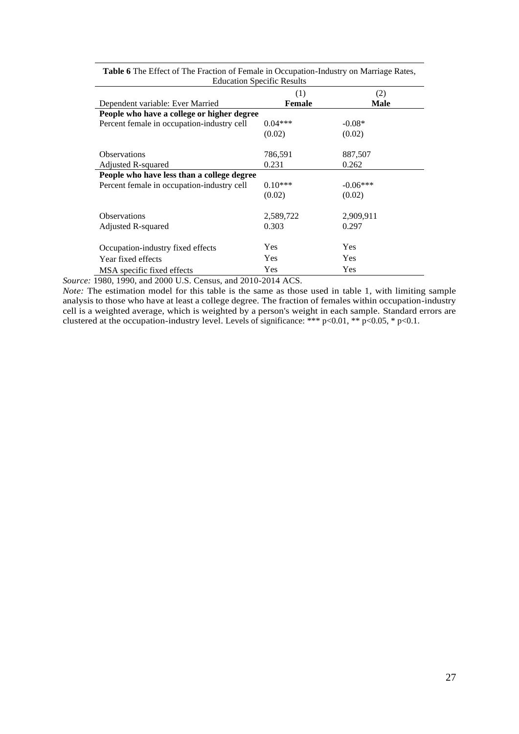| <b>Education Specific Results</b>          |            |            |  |  |
|--------------------------------------------|------------|------------|--|--|
|                                            | (1)        | (2)        |  |  |
| Dependent variable: Ever Married           | Female     | Male       |  |  |
| People who have a college or higher degree |            |            |  |  |
| Percent female in occupation-industry cell | $0.04***$  | $-0.08*$   |  |  |
|                                            | (0.02)     | (0.02)     |  |  |
|                                            |            |            |  |  |
| <b>Observations</b>                        | 786,591    | 887,507    |  |  |
| Adjusted R-squared                         | 0.231      | 0.262      |  |  |
| People who have less than a college degree |            |            |  |  |
| Percent female in occupation-industry cell | $0.10***$  | $-0.06***$ |  |  |
|                                            | (0.02)     | (0.02)     |  |  |
| <b>Observations</b>                        | 2,589,722  | 2,909,911  |  |  |
| Adjusted R-squared                         | 0.303      | 0.297      |  |  |
| Occupation-industry fixed effects          | <b>Yes</b> | Yes        |  |  |
| Year fixed effects                         | <b>Yes</b> | Yes        |  |  |
| MSA specific fixed effects                 | Yes        | Yes        |  |  |

**Table 6** The Effect of The Fraction of Female in Occupation-Industry on Marriage Rates, Education Specific Results

*Source:* 1980, 1990, and 2000 U.S. Census, and 2010-2014 ACS.

*Note:* The estimation model for this table is the same as those used in table 1, with limiting sample analysis to those who have at least a college degree. The fraction of females within occupation-industry cell is a weighted average, which is weighted by a person's weight in each sample. Standard errors are clustered at the occupation-industry level. Levels of significance: \*\*\* p<0.01, \*\* p<0.05, \* p<0.1.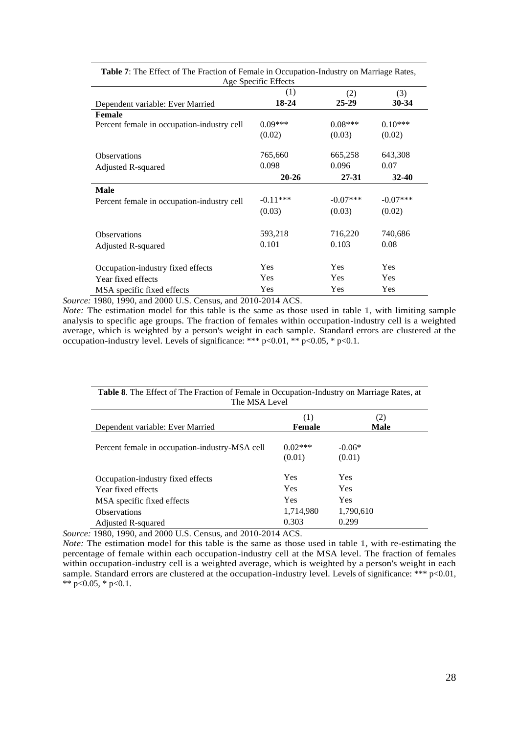| Age Specific Effects                       |            |            |            |  |
|--------------------------------------------|------------|------------|------------|--|
|                                            | (1)        | (2)        | (3)        |  |
| Dependent variable: Ever Married           | 18-24      | $25 - 29$  | 30-34      |  |
| <b>Female</b>                              |            |            |            |  |
| Percent female in occupation-industry cell | $0.09***$  | $0.08***$  | $0.10***$  |  |
|                                            | (0.02)     | (0.03)     | (0.02)     |  |
| <b>Observations</b>                        | 765,660    | 665,258    | 643,308    |  |
| Adjusted R-squared                         | 0.098      | 0.096      | 0.07       |  |
|                                            | $20 - 26$  | $27 - 31$  | $32 - 40$  |  |
| Male                                       |            |            |            |  |
| Percent female in occupation-industry cell | $-0.11***$ | $-0.07***$ | $-0.07***$ |  |
|                                            | (0.03)     | (0.03)     | (0.02)     |  |
| <b>Observations</b>                        | 593,218    | 716,220    | 740,686    |  |
| Adjusted R-squared                         | 0.101      | 0.103      | 0.08       |  |
| Occupation-industry fixed effects          | <b>Yes</b> | <b>Yes</b> | Yes        |  |
| Year fixed effects                         | Yes        | <b>Yes</b> | Yes        |  |
| MSA specific fixed effects                 | Yes        | <b>Yes</b> | <b>Yes</b> |  |

**Table 7**: The Effect of The Fraction of Female in Occupation-Industry on Marriage Rates,

*Source:* 1980, 1990, and 2000 U.S. Census, and 2010-2014 ACS.

*Note:* The estimation model for this table is the same as those used in table 1, with limiting sample analysis to specific age groups. The fraction of females within occupation-industry cell is a weighted average, which is weighted by a person's weight in each sample. Standard errors are clustered at the occupation-industry level. Levels of significance: \*\*\*  $p<0.01$ , \*\*  $p<0.05$ , \*  $p<0.1$ .

| <b>Table 8.</b> The Effect of The Fraction of Female in Occupation-Industry on Marriage Rates, at<br>The MSA Level |                     |                    |  |
|--------------------------------------------------------------------------------------------------------------------|---------------------|--------------------|--|
|                                                                                                                    | (1)                 | (2)                |  |
| Dependent variable: Ever Married                                                                                   | Female              | <b>Male</b>        |  |
| Percent female in occupation-industry-MSA cell                                                                     | $0.02***$<br>(0.01) | $-0.06*$<br>(0.01) |  |
| Occupation-industry fixed effects                                                                                  | <b>Yes</b>          | Yes                |  |
| Year fixed effects                                                                                                 | <b>Yes</b>          | <b>Yes</b>         |  |
| MSA specific fixed effects                                                                                         | <b>Yes</b>          | Yes                |  |
| <b>Observations</b>                                                                                                | 1,714,980           | 1,790,610          |  |
| <b>Adjusted R-squared</b>                                                                                          | 0.303               | 0.299              |  |

*Source:* 1980, 1990, and 2000 U.S. Census, and 2010-2014 ACS.

*Note:* The estimation model for this table is the same as those used in table 1, with re-estimating the percentage of female within each occupation-industry cell at the MSA level. The fraction of females within occupation-industry cell is a weighted average, which is weighted by a person's weight in each sample. Standard errors are clustered at the occupation-industry level. Levels of significance: \*\*\* p<0.01, \*\*  $p<0.05$ , \*  $p<0.1$ .